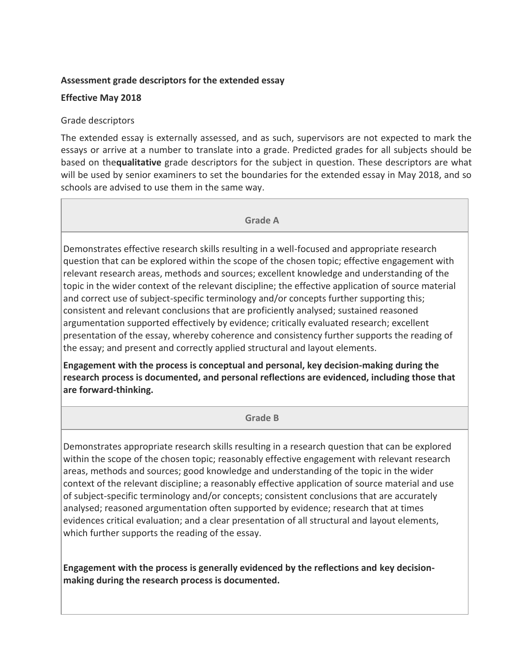# **Assessment grade descriptors for the extended essay**

# **Effective May 2018**

### Grade descriptors

The extended essay is externally assessed, and as such, supervisors are not expected to mark the essays or arrive at a number to translate into a grade. Predicted grades for all subjects should be based on the**qualitative** grade descriptors for the subject in question. These descriptors are what will be used by senior examiners to set the boundaries for the extended essay in May 2018, and so schools are advised to use them in the same way.

#### **Grade A**

Demonstrates effective research skills resulting in a well-focused and appropriate research question that can be explored within the scope of the chosen topic; effective engagement with relevant research areas, methods and sources; excellent knowledge and understanding of the topic in the wider context of the relevant discipline; the effective application of source material and correct use of subject-specific terminology and/or concepts further supporting this; consistent and relevant conclusions that are proficiently analysed; sustained reasoned argumentation supported effectively by evidence; critically evaluated research; excellent presentation of the essay, whereby coherence and consistency further supports the reading of the essay; and present and correctly applied structural and layout elements.

**Engagement with the process is conceptual and personal, key decision-making during the research process is documented, and personal reflections are evidenced, including those that are forward-thinking.**

**Grade B**

Demonstrates appropriate research skills resulting in a research question that can be explored within the scope of the chosen topic; reasonably effective engagement with relevant research areas, methods and sources; good knowledge and understanding of the topic in the wider context of the relevant discipline; a reasonably effective application of source material and use of subject-specific terminology and/or concepts; consistent conclusions that are accurately analysed; reasoned argumentation often supported by evidence; research that at times evidences critical evaluation; and a clear presentation of all structural and layout elements, which further supports the reading of the essay.

**Engagement with the process is generally evidenced by the reflections and key decisionmaking during the research process is documented.**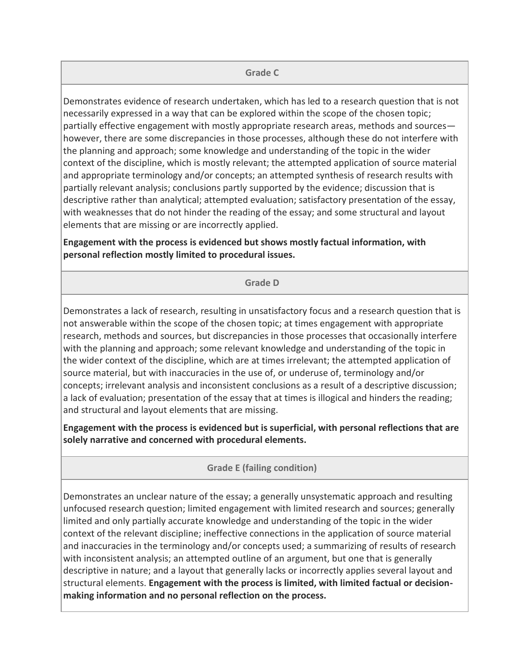#### **Grade C**

Demonstrates evidence of research undertaken, which has led to a research question that is not necessarily expressed in a way that can be explored within the scope of the chosen topic; partially effective engagement with mostly appropriate research areas, methods and sources however, there are some discrepancies in those processes, although these do not interfere with the planning and approach; some knowledge and understanding of the topic in the wider context of the discipline, which is mostly relevant; the attempted application of source material and appropriate terminology and/or concepts; an attempted synthesis of research results with partially relevant analysis; conclusions partly supported by the evidence; discussion that is descriptive rather than analytical; attempted evaluation; satisfactory presentation of the essay, with weaknesses that do not hinder the reading of the essay; and some structural and layout elements that are missing or are incorrectly applied.

**Engagement with the process is evidenced but shows mostly factual information, with personal reflection mostly limited to procedural issues.**

#### **Grade D**

Demonstrates a lack of research, resulting in unsatisfactory focus and a research question that is not answerable within the scope of the chosen topic; at times engagement with appropriate research, methods and sources, but discrepancies in those processes that occasionally interfere with the planning and approach; some relevant knowledge and understanding of the topic in the wider context of the discipline, which are at times irrelevant; the attempted application of source material, but with inaccuracies in the use of, or underuse of, terminology and/or concepts; irrelevant analysis and inconsistent conclusions as a result of a descriptive discussion; a lack of evaluation; presentation of the essay that at times is illogical and hinders the reading; and structural and layout elements that are missing.

**Engagement with the process is evidenced but is superficial, with personal reflections that are solely narrative and concerned with procedural elements.**

**Grade E (failing condition)**

Demonstrates an unclear nature of the essay; a generally unsystematic approach and resulting unfocused research question; limited engagement with limited research and sources; generally limited and only partially accurate knowledge and understanding of the topic in the wider context of the relevant discipline; ineffective connections in the application of source material and inaccuracies in the terminology and/or concepts used; a summarizing of results of research with inconsistent analysis; an attempted outline of an argument, but one that is generally descriptive in nature; and a layout that generally lacks or incorrectly applies several layout and structural elements. **Engagement with the process is limited, with limited factual or decisionmaking information and no personal reflection on the process.**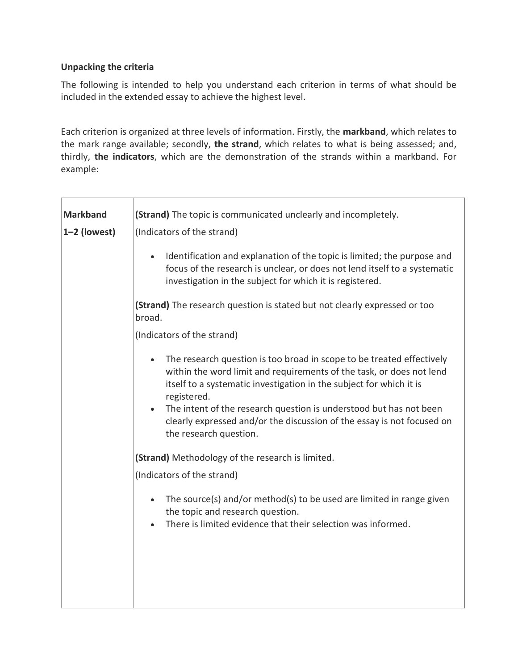# **Unpacking the criteria**

The following is intended to help you understand each criterion in terms of what should be included in the extended essay to achieve the highest level.

Each criterion is organized at three levels of information. Firstly, the **markband**, which relates to the mark range available; secondly, **the strand**, which relates to what is being assessed; and, thirdly, **the indicators**, which are the demonstration of the strands within a markband. For example:

| <b>Markband</b> | (Strand) The topic is communicated unclearly and incompletely.                                                                                                                                                                                   |
|-----------------|--------------------------------------------------------------------------------------------------------------------------------------------------------------------------------------------------------------------------------------------------|
| $1-2$ (lowest)  | (Indicators of the strand)                                                                                                                                                                                                                       |
|                 | Identification and explanation of the topic is limited; the purpose and<br>$\bullet$<br>focus of the research is unclear, or does not lend itself to a systematic<br>investigation in the subject for which it is registered.                    |
|                 | (Strand) The research question is stated but not clearly expressed or too<br>broad.                                                                                                                                                              |
|                 | (Indicators of the strand)                                                                                                                                                                                                                       |
|                 | The research question is too broad in scope to be treated effectively<br>$\bullet$<br>within the word limit and requirements of the task, or does not lend<br>itself to a systematic investigation in the subject for which it is<br>registered. |
|                 | The intent of the research question is understood but has not been<br>$\bullet$<br>clearly expressed and/or the discussion of the essay is not focused on<br>the research question.                                                              |
|                 | (Strand) Methodology of the research is limited.                                                                                                                                                                                                 |
|                 | (Indicators of the strand)                                                                                                                                                                                                                       |
|                 | The source(s) and/or method(s) to be used are limited in range given<br>$\bullet$<br>the topic and research question.<br>There is limited evidence that their selection was informed.                                                            |
|                 |                                                                                                                                                                                                                                                  |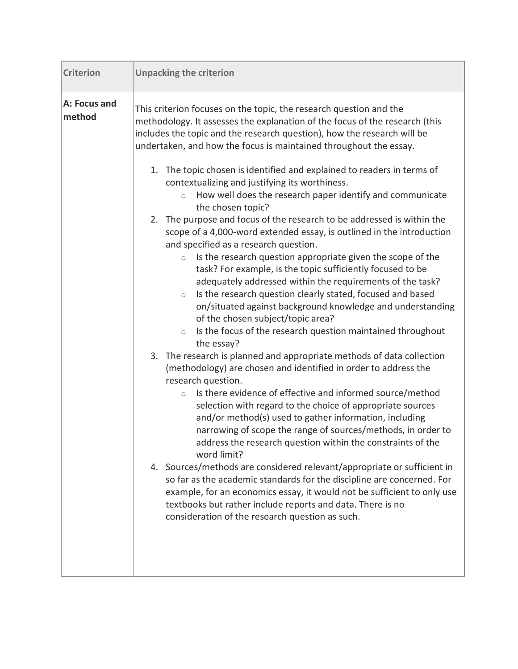| <b>Criterion</b>       | <b>Unpacking the criterion</b>                                                                                                                                                                                                                                                                                                                                                                                                                                                                                                                                                                                                                                                                                                                                                                                                                                                                                                                                                                                                                                                                                                                                                                                                                                                                                                                                                                                                                                                                                                                                                                                                                                                                                                                                                                                                                                                                                                                                                                                                                                   |
|------------------------|------------------------------------------------------------------------------------------------------------------------------------------------------------------------------------------------------------------------------------------------------------------------------------------------------------------------------------------------------------------------------------------------------------------------------------------------------------------------------------------------------------------------------------------------------------------------------------------------------------------------------------------------------------------------------------------------------------------------------------------------------------------------------------------------------------------------------------------------------------------------------------------------------------------------------------------------------------------------------------------------------------------------------------------------------------------------------------------------------------------------------------------------------------------------------------------------------------------------------------------------------------------------------------------------------------------------------------------------------------------------------------------------------------------------------------------------------------------------------------------------------------------------------------------------------------------------------------------------------------------------------------------------------------------------------------------------------------------------------------------------------------------------------------------------------------------------------------------------------------------------------------------------------------------------------------------------------------------------------------------------------------------------------------------------------------------|
| A: Focus and<br>method | This criterion focuses on the topic, the research question and the<br>methodology. It assesses the explanation of the focus of the research (this<br>includes the topic and the research question), how the research will be<br>undertaken, and how the focus is maintained throughout the essay.<br>1. The topic chosen is identified and explained to readers in terms of<br>contextualizing and justifying its worthiness.<br>How well does the research paper identify and communicate<br>$\circ$<br>the chosen topic?<br>2. The purpose and focus of the research to be addressed is within the<br>scope of a 4,000-word extended essay, is outlined in the introduction<br>and specified as a research question.<br>Is the research question appropriate given the scope of the<br>$\circ$<br>task? For example, is the topic sufficiently focused to be<br>adequately addressed within the requirements of the task?<br>Is the research question clearly stated, focused and based<br>$\circ$<br>on/situated against background knowledge and understanding<br>of the chosen subject/topic area?<br>Is the focus of the research question maintained throughout<br>$\circ$<br>the essay?<br>3. The research is planned and appropriate methods of data collection<br>(methodology) are chosen and identified in order to address the<br>research question.<br>Is there evidence of effective and informed source/method<br>$\circ$<br>selection with regard to the choice of appropriate sources<br>and/or method(s) used to gather information, including<br>narrowing of scope the range of sources/methods, in order to<br>address the research question within the constraints of the<br>word limit?<br>4. Sources/methods are considered relevant/appropriate or sufficient in<br>so far as the academic standards for the discipline are concerned. For<br>example, for an economics essay, it would not be sufficient to only use<br>textbooks but rather include reports and data. There is no<br>consideration of the research question as such. |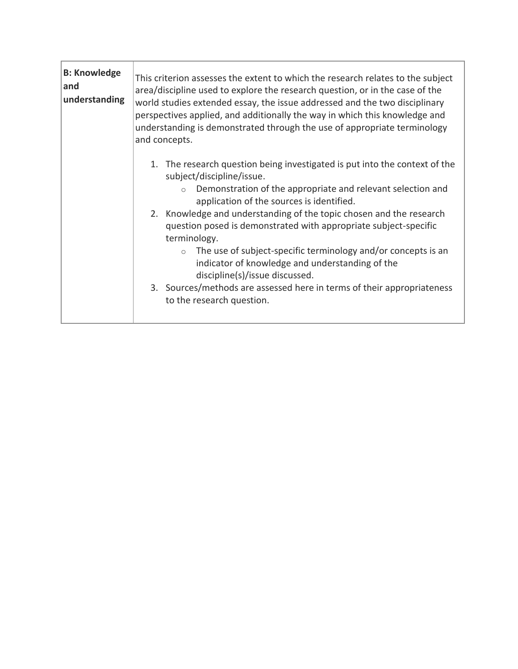| <b>B: Knowledge</b><br> and<br>understanding | This criterion assesses the extent to which the research relates to the subject<br>area/discipline used to explore the research question, or in the case of the<br>world studies extended essay, the issue addressed and the two disciplinary<br>perspectives applied, and additionally the way in which this knowledge and<br>understanding is demonstrated through the use of appropriate terminology<br>and concepts. |
|----------------------------------------------|--------------------------------------------------------------------------------------------------------------------------------------------------------------------------------------------------------------------------------------------------------------------------------------------------------------------------------------------------------------------------------------------------------------------------|
|                                              | 1. The research question being investigated is put into the context of the<br>subject/discipline/issue.<br>Demonstration of the appropriate and relevant selection and                                                                                                                                                                                                                                                   |
|                                              | application of the sources is identified.                                                                                                                                                                                                                                                                                                                                                                                |
|                                              | 2. Knowledge and understanding of the topic chosen and the research<br>question posed is demonstrated with appropriate subject-specific<br>terminology.                                                                                                                                                                                                                                                                  |
|                                              | The use of subject-specific terminology and/or concepts is an<br>indicator of knowledge and understanding of the<br>discipline(s)/issue discussed.                                                                                                                                                                                                                                                                       |
|                                              | 3. Sources/methods are assessed here in terms of their appropriateness<br>to the research question.                                                                                                                                                                                                                                                                                                                      |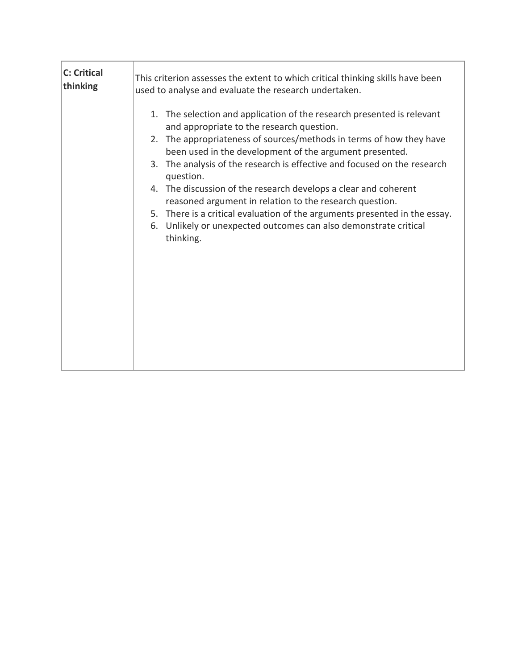| <b>C: Critical</b> | This criterion assesses the extent to which critical thinking skills have been                                                                                                                                                                                                                                                                                                                                                                                                                                                                                                                                                              |
|--------------------|---------------------------------------------------------------------------------------------------------------------------------------------------------------------------------------------------------------------------------------------------------------------------------------------------------------------------------------------------------------------------------------------------------------------------------------------------------------------------------------------------------------------------------------------------------------------------------------------------------------------------------------------|
| thinking           | used to analyse and evaluate the research undertaken.                                                                                                                                                                                                                                                                                                                                                                                                                                                                                                                                                                                       |
|                    | 1. The selection and application of the research presented is relevant<br>and appropriate to the research question.<br>2. The appropriateness of sources/methods in terms of how they have<br>been used in the development of the argument presented.<br>3. The analysis of the research is effective and focused on the research<br>question.<br>4. The discussion of the research develops a clear and coherent<br>reasoned argument in relation to the research question.<br>5. There is a critical evaluation of the arguments presented in the essay.<br>6. Unlikely or unexpected outcomes can also demonstrate critical<br>thinking. |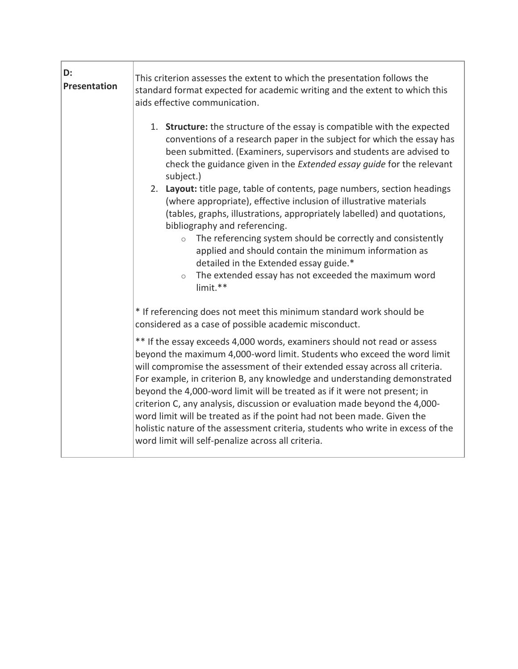| D:<br><b>Presentation</b> | This criterion assesses the extent to which the presentation follows the<br>standard format expected for academic writing and the extent to which this<br>aids effective communication.                                                                                                                                                                                                                                                                                                                                                                                                                                                                                                                                                                                                                                                   |
|---------------------------|-------------------------------------------------------------------------------------------------------------------------------------------------------------------------------------------------------------------------------------------------------------------------------------------------------------------------------------------------------------------------------------------------------------------------------------------------------------------------------------------------------------------------------------------------------------------------------------------------------------------------------------------------------------------------------------------------------------------------------------------------------------------------------------------------------------------------------------------|
|                           | 1. Structure: the structure of the essay is compatible with the expected<br>conventions of a research paper in the subject for which the essay has<br>been submitted. (Examiners, supervisors and students are advised to<br>check the guidance given in the Extended essay guide for the relevant<br>subject.)<br>2. Layout: title page, table of contents, page numbers, section headings<br>(where appropriate), effective inclusion of illustrative materials<br>(tables, graphs, illustrations, appropriately labelled) and quotations,<br>bibliography and referencing.<br>The referencing system should be correctly and consistently<br>$\circ$<br>applied and should contain the minimum information as<br>detailed in the Extended essay guide.*<br>The extended essay has not exceeded the maximum word<br>$\circ$<br>limit.** |
|                           | * If referencing does not meet this minimum standard work should be<br>considered as a case of possible academic misconduct.                                                                                                                                                                                                                                                                                                                                                                                                                                                                                                                                                                                                                                                                                                              |
|                           | ** If the essay exceeds 4,000 words, examiners should not read or assess<br>beyond the maximum 4,000-word limit. Students who exceed the word limit<br>will compromise the assessment of their extended essay across all criteria.<br>For example, in criterion B, any knowledge and understanding demonstrated<br>beyond the 4,000-word limit will be treated as if it were not present; in<br>criterion C, any analysis, discussion or evaluation made beyond the 4,000-<br>word limit will be treated as if the point had not been made. Given the<br>holistic nature of the assessment criteria, students who write in excess of the<br>word limit will self-penalize across all criteria.                                                                                                                                            |